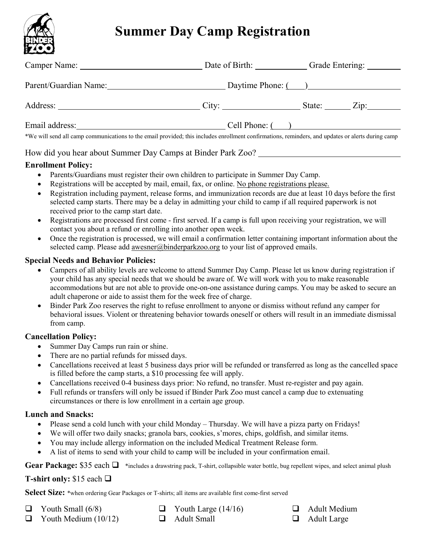

# **Summer Day Camp Registration**

|                                                                                                                                                   |                     | Grade Entering: _________ |  |
|---------------------------------------------------------------------------------------------------------------------------------------------------|---------------------|---------------------------|--|
| Parent/Guardian Name: Daytime Phone: ()                                                                                                           |                     |                           |  |
|                                                                                                                                                   |                     | State: Zip:               |  |
| Email address:                                                                                                                                    | $Cell$ Phone: $($ ) |                           |  |
| *We will send all camp communications to the email provided; this includes enrollment confirmations, reminders, and updates or alerts during camp |                     |                           |  |

## How did you hear about Summer Day Camps at Binder Park Zoo?

## **Enrollment Policy:**

- Parents/Guardians must register their own children to participate in Summer Day Camp.
- Registrations will be accepted by mail, email, fax, or online. No phone registrations please.
- Registration including payment, release forms, and immunization records are due at least 10 days before the first selected camp starts. There may be a delay in admitting your child to camp if all required paperwork is not received prior to the camp start date.
- Registrations are processed first come first served. If a camp is full upon receiving your registration, we will contact you about a refund or enrolling into another open week.
- Once the registration is processed, we will email a confirmation letter containing important information about the selected camp. Please add [awesner@binderparkzoo.org](mailto:awesner@binderparkzoo.org) to your list of approved emails.

## **Special Needs and Behavior Policies:**

- Campers of all ability levels are welcome to attend Summer Day Camp. Please let us know during registration if your child has any special needs that we should be aware of. We will work with you to make reasonable accommodations but are not able to provide one-on-one assistance during camps. You may be asked to secure an adult chaperone or aide to assist them for the week free of charge.
- Binder Park Zoo reserves the right to refuse enrollment to anyone or dismiss without refund any camper for behavioral issues. Violent or threatening behavior towards oneself or others will result in an immediate dismissal from camp.

## **Cancellation Policy:**

- Summer Day Camps run rain or shine.
- There are no partial refunds for missed days.
- Cancellations received at least 5 business days prior will be refunded or transferred as long as the cancelled space is filled before the camp starts, a \$10 processing fee will apply.
- Cancellations received 0-4 business days prior: No refund, no transfer. Must re-register and pay again.
- Full refunds or transfers will only be issued if Binder Park Zoo must cancel a camp due to extenuating circumstances or there is low enrollment in a certain age group.

## **Lunch and Snacks:**

- Please send a cold lunch with your child Monday Thursday. We will have a pizza party on Fridays!
- We will offer two daily snacks; granola bars, cookies, s'mores, chips, goldfish, and similar items.
- You may include allergy information on the included Medical Treatment Release form.
- A list of items to send with your child to camp will be included in your confirmation email.

Gear Package: \$35 each  $\Box$  \*includes a drawstring pack, T-shirt, collapsible water bottle, bug repellent wipes, and select animal plush

## **T-shirt only:** \$15 each

**Select Size:** \*when ordering Gear Packages or T-shirts; all items are available first come-first served

- $\Box$  Youth Small (6/8)
- $\Box$  Youth Medium (10/12)
- $\Box$  Youth Large (14/16) **Q** Adult Small
- **Q** Adult Medium
- Adult Large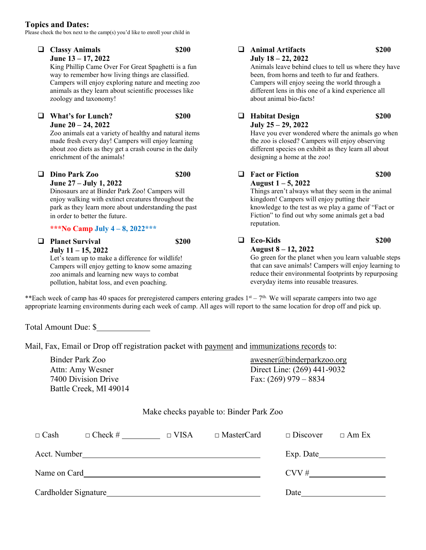#### **Topics and Dates:**

Please check the box next to the camp(s) you'd like to enroll your child in

| ⊔ | <b>Classy Animals</b><br>June 13 - 17, 2022<br>King Phillip Came Over For Great Spaghetti is a fun<br>way to remember how living things are classified.<br>Campers will enjoy exploring nature and meeting zoo<br>animals as they learn about scientific processes like<br>zoology and taxonomy! | \$200 | □ | <b>Animal Artifacts</b><br>\$200<br>July 18 - 22, 2022<br>Animals leave behind clues to tell us where they have<br>been, from horns and teeth to fur and feathers.<br>Campers will enjoy seeing the world through a<br>different lens in this one of a kind experience all<br>about animal bio-facts! |       |
|---|--------------------------------------------------------------------------------------------------------------------------------------------------------------------------------------------------------------------------------------------------------------------------------------------------|-------|---|-------------------------------------------------------------------------------------------------------------------------------------------------------------------------------------------------------------------------------------------------------------------------------------------------------|-------|
|   | <b>What's for Lunch?</b><br>June 20 - 24, 2022<br>Zoo animals eat a variety of healthy and natural items<br>made fresh every day! Campers will enjoy learning<br>about zoo diets as they get a crash course in the daily<br>enrichment of the animals!                                           | \$200 |   | <b>Habitat Design</b><br>July 25 - 29, 2022<br>Have you ever wondered where the animals go when<br>the zoo is closed? Campers will enjoy observing<br>different species on exhibit as they learn all about<br>designing a home at the zoo!                                                            | \$200 |
| ப | Dino Park Zoo<br>June 27 – July 1, 2022<br>Dinosaurs are at Binder Park Zoo! Campers will<br>enjoy walking with extinct creatures throughout the<br>park as they learn more about understanding the past<br>in order to better the future.<br>***No Camp July 4 – 8, 2022***                     | \$200 | ப | <b>Fact or Fiction</b><br>August $1 - 5$ , 2022<br>Things aren't always what they seem in the animal<br>kingdom! Campers will enjoy putting their<br>knowledge to the test as we play a game of "Fact or<br>Fiction" to find out why some animals get a bad<br>reputation.                            | \$200 |
| ⊔ | <b>Planet Survival</b><br>July $11 - 15$ , 2022<br>Let's team up to make a difference for wildlife!<br>Campers will enjoy getting to know some amazing<br>zoo animals and learning new ways to combat<br>pollution, habitat loss, and even poaching.                                             | \$200 | ப | <b>Eco-Kids</b><br>August 8 - 12, 2022<br>Go green for the planet when you learn valuable steps<br>that can save animals! Campers will enjoy learning to<br>reduce their environmental footprints by repurposing<br>everyday items into reusable treasures.                                           | \$200 |

\*\*Each week of camp has 40 spaces for preregistered campers entering grades  $1<sup>st</sup> - 7<sup>th</sup>$ . We will separate campers into two age appropriate learning environments during each week of camp. All ages will report to the same location for drop off and pick up.

Total Amount Due: \$

Mail, Fax, Email or Drop off registration packet with payment and immunizations records to:

Binder Park Zoo Attn: Amy Wesner 7400 Division Drive Battle Creek, MI 49014

[awesner@binderparkzoo.org](mailto:awesner@binderparkzoo.org) Direct Line: (269) 441-9032 Fax: (269) 979 – 8834

#### Make checks payable to: Binder Park Zoo

| $\Box$ Cash          | $\Box$ Check # | $\Box$ VISA | $\Box$ MasterCard | $\Box$ Discover | $\Box$ Am Ex |
|----------------------|----------------|-------------|-------------------|-----------------|--------------|
| Acct. Number         |                |             |                   | Exp. Date       |              |
| Name on Card         |                |             |                   | CVV#            |              |
| Cardholder Signature |                |             |                   | Date            |              |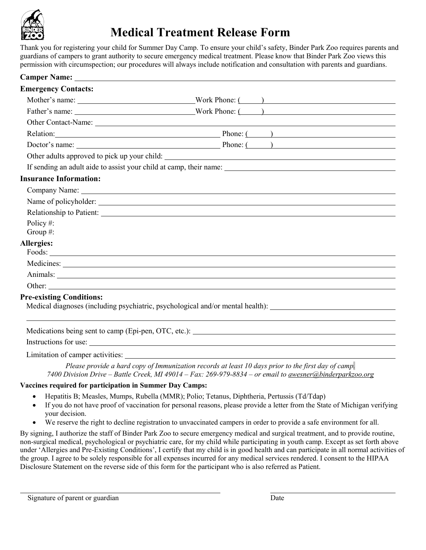

## **Medical Treatment Release Form**

Thank you for registering your child for Summer Day Camp. To ensure your child's safety, Binder Park Zoo requires parents and guardians of campers to grant authority to secure emergency medical treatment. Please know that Binder Park Zoo views this permission with circumspection; our procedures will always include notification and consultation with parents and guardians.

| Camper Name: <u>and the contract of the contract of the contract of the contract of the contract of the contract of the contract of the contract of the contract of the contract of the contract of the contract of the contract</u>                                                             |                                                                                                                                                                                                                                |
|--------------------------------------------------------------------------------------------------------------------------------------------------------------------------------------------------------------------------------------------------------------------------------------------------|--------------------------------------------------------------------------------------------------------------------------------------------------------------------------------------------------------------------------------|
| <b>Emergency Contacts:</b>                                                                                                                                                                                                                                                                       |                                                                                                                                                                                                                                |
|                                                                                                                                                                                                                                                                                                  |                                                                                                                                                                                                                                |
|                                                                                                                                                                                                                                                                                                  |                                                                                                                                                                                                                                |
|                                                                                                                                                                                                                                                                                                  |                                                                                                                                                                                                                                |
|                                                                                                                                                                                                                                                                                                  | Relation: Phone: ( )                                                                                                                                                                                                           |
|                                                                                                                                                                                                                                                                                                  | Doctor's name: Phone: ( )                                                                                                                                                                                                      |
|                                                                                                                                                                                                                                                                                                  |                                                                                                                                                                                                                                |
|                                                                                                                                                                                                                                                                                                  |                                                                                                                                                                                                                                |
| <b>Insurance Information:</b>                                                                                                                                                                                                                                                                    |                                                                                                                                                                                                                                |
|                                                                                                                                                                                                                                                                                                  | Company Name: Name: Name: Name: Name: Name: Name: Name: Name: Name: Name: Name: Name: Name: Name: Name: Name: Name: Name: Name: Name: Name: Name: Name: Name: Name: Name: Name: Name: Name: Name: Name: Name: Name: Name: Name |
|                                                                                                                                                                                                                                                                                                  |                                                                                                                                                                                                                                |
|                                                                                                                                                                                                                                                                                                  |                                                                                                                                                                                                                                |
| Policy#:                                                                                                                                                                                                                                                                                         |                                                                                                                                                                                                                                |
| Group #:                                                                                                                                                                                                                                                                                         |                                                                                                                                                                                                                                |
| <b>Allergies:</b>                                                                                                                                                                                                                                                                                |                                                                                                                                                                                                                                |
|                                                                                                                                                                                                                                                                                                  | Medicines: Networks and the set of the set of the set of the set of the set of the set of the set of the set of the set of the set of the set of the set of the set of the set of the set of the set of the set of the set of  |
|                                                                                                                                                                                                                                                                                                  |                                                                                                                                                                                                                                |
|                                                                                                                                                                                                                                                                                                  |                                                                                                                                                                                                                                |
| <b>Pre-existing Conditions:</b>                                                                                                                                                                                                                                                                  | Medical diagnoses (including psychiatric, psychological and/or mental health):                                                                                                                                                 |
|                                                                                                                                                                                                                                                                                                  |                                                                                                                                                                                                                                |
|                                                                                                                                                                                                                                                                                                  | Medications being sent to camp (Epi-pen, OTC, etc.): ____________________________                                                                                                                                              |
| $\mathbf{r}$ and $\mathbf{r}$ and $\mathbf{r}$ and $\mathbf{r}$ and $\mathbf{r}$ and $\mathbf{r}$ and $\mathbf{r}$ and $\mathbf{r}$ and $\mathbf{r}$ and $\mathbf{r}$ and $\mathbf{r}$ and $\mathbf{r}$ and $\mathbf{r}$ and $\mathbf{r}$ and $\mathbf{r}$ and $\mathbf{r}$ and $\mathbf{r}$ and |                                                                                                                                                                                                                                |

Instructions for use:

Limitation of camper activities:

*Please provide a hard copy of Immunization records at least 10 days prior to the first day of camp. 7400 Division Drive – Battle Creek, MI 49014 – Fax: 269-979-8834 – or email to [awesner@binderparkzoo.org](mailto:awesner@binderparkzoo.org)*

### **Vaccines required for participation in Summer Day Camps:**

- Hepatitis B; Measles, Mumps, Rubella (MMR); Polio; Tetanus, Diphtheria, Pertussis (Td/Tdap)
- If you do not have proof of vaccination for personal reasons, please provide a letter from the State of Michigan verifying your decision.
- We reserve the right to decline registration to unvaccinated campers in order to provide a safe environment for all.

By signing, I authorize the staff of Binder Park Zoo to secure emergency medical and surgical treatment, and to provide routine, non-surgical medical, psychological or psychiatric care, for my child while participating in youth camp. Except as set forth above under 'Allergies and Pre-Existing Conditions', I certify that my child is in good health and can participate in all normal activities of the group. I agree to be solely responsible for all expenses incurred for any medical services rendered. I consent to the HIPAA Disclosure Statement on the reverse side of this form for the participant who is also referred as Patient.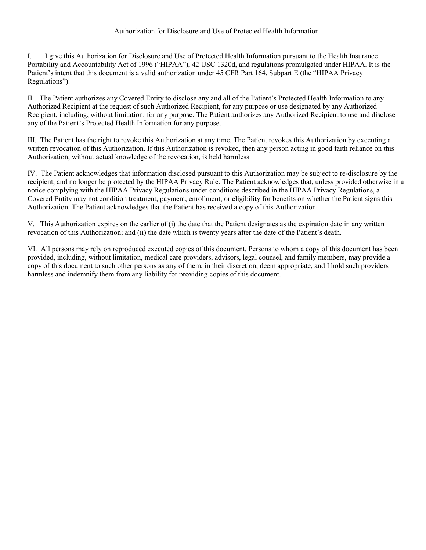#### Authorization for Disclosure and Use of Protected Health Information

I. I give this Authorization for Disclosure and Use of Protected Health Information pursuant to the Health Insurance Portability and Accountability Act of 1996 ("HIPAA"), 42 USC 1320d, and regulations promulgated under HIPAA. It is the Patient's intent that this document is a valid authorization under 45 CFR Part 164, Subpart E (the "HIPAA Privacy Regulations").

II. The Patient authorizes any Covered Entity to disclose any and all of the Patient's Protected Health Information to any Authorized Recipient at the request of such Authorized Recipient, for any purpose or use designated by any Authorized Recipient, including, without limitation, for any purpose. The Patient authorizes any Authorized Recipient to use and disclose any of the Patient's Protected Health Information for any purpose.

III. The Patient has the right to revoke this Authorization at any time. The Patient revokes this Authorization by executing a written revocation of this Authorization. If this Authorization is revoked, then any person acting in good faith reliance on this Authorization, without actual knowledge of the revocation, is held harmless.

IV. The Patient acknowledges that information disclosed pursuant to this Authorization may be subject to re-disclosure by the recipient, and no longer be protected by the HIPAA Privacy Rule. The Patient acknowledges that, unless provided otherwise in a notice complying with the HIPAA Privacy Regulations under conditions described in the HIPAA Privacy Regulations, a Covered Entity may not condition treatment, payment, enrollment, or eligibility for benefits on whether the Patient signs this Authorization. The Patient acknowledges that the Patient has received a copy of this Authorization.

V. This Authorization expires on the earlier of (i) the date that the Patient designates as the expiration date in any written revocation of this Authorization; and (ii) the date which is twenty years after the date of the Patient's death.

VI. All persons may rely on reproduced executed copies of this document. Persons to whom a copy of this document has been provided, including, without limitation, medical care providers, advisors, legal counsel, and family members, may provide a copy of this document to such other persons as any of them, in their discretion, deem appropriate, and I hold such providers harmless and indemnify them from any liability for providing copies of this document.